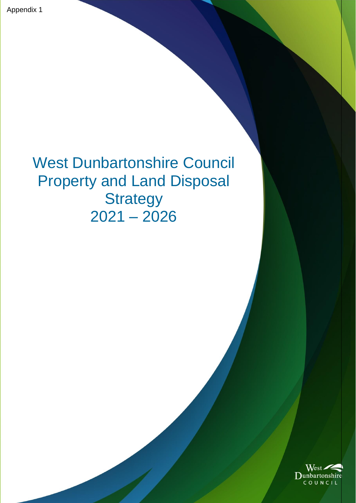# West Dunbartonshire Council Property and Land Disposal **Strategy**  $2021 - 2026$

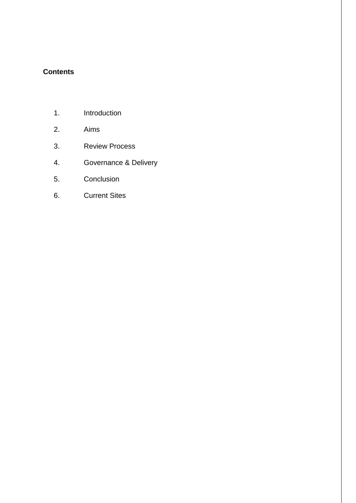## **Contents**

- 1. Introduction
- 2. Aims
- 3. Review Process
- 4. Governance & Delivery
- 5. Conclusion
- 6. Current Sites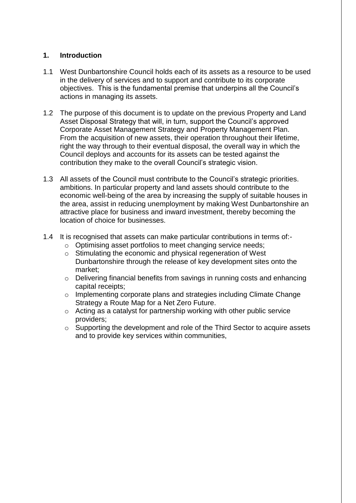#### **1. Introduction**

- 1.1 West Dunbartonshire Council holds each of its assets as a resource to be used in the delivery of services and to support and contribute to its corporate objectives. This is the fundamental premise that underpins all the Council's actions in managing its assets.
- 1.2 The purpose of this document is to update on the previous Property and Land Asset Disposal Strategy that will, in turn, support the Council's approved Corporate Asset Management Strategy and Property Management Plan. From the acquisition of new assets, their operation throughout their lifetime, right the way through to their eventual disposal, the overall way in which the Council deploys and accounts for its assets can be tested against the contribution they make to the overall Council's strategic vision.
- 1.3 All assets of the Council must contribute to the Council's strategic priorities. ambitions. In particular property and land assets should contribute to the economic well-being of the area by increasing the supply of suitable houses in the area, assist in reducing unemployment by making West Dunbartonshire an attractive place for business and inward investment, thereby becoming the location of choice for businesses.
- 1.4 It is recognised that assets can make particular contributions in terms of:
	- o Optimising asset portfolios to meet changing service needs;
	- o Stimulating the economic and physical regeneration of West Dunbartonshire through the release of key development sites onto the market;
	- o Delivering financial benefits from savings in running costs and enhancing capital receipts;
	- o Implementing corporate plans and strategies including Climate Change Strategy a Route Map for a Net Zero Future.
	- o Acting as a catalyst for partnership working with other public service providers;
	- o Supporting the development and role of the Third Sector to acquire assets and to provide key services within communities,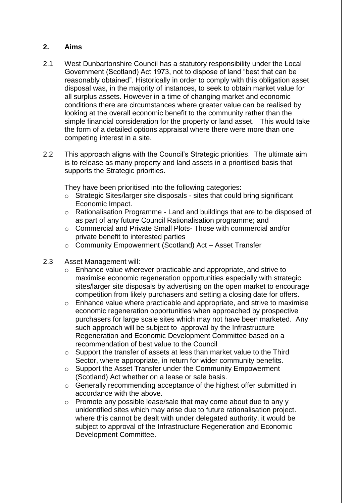### **2. Aims**

- 2.1 West Dunbartonshire Council has a statutory responsibility under the Local Government (Scotland) Act 1973, not to dispose of land "best that can be reasonably obtained". Historically in order to comply with this obligation asset disposal was, in the majority of instances, to seek to obtain market value for all surplus assets. However in a time of changing market and economic conditions there are circumstances where greater value can be realised by looking at the overall economic benefit to the community rather than the simple financial consideration for the property or land asset. This would take the form of a detailed options appraisal where there were more than one competing interest in a site.
- 2.2 This approach aligns with the Council's Strategic priorities. The ultimate aim is to release as many property and land assets in a prioritised basis that supports the Strategic priorities.

They have been prioritised into the following categories:

- o Strategic Sites/larger site disposals sites that could bring significant Economic Impact.
- o Rationalisation Programme Land and buildings that are to be disposed of as part of any future Council Rationalisation programme; and
- o Commercial and Private Small Plots- Those with commercial and/or private benefit to interested parties
- o Community Empowerment (Scotland) Act Asset Transfer
- 2.3 Asset Management will:
	- $\circ$  Enhance value wherever practicable and appropriate, and strive to maximise economic regeneration opportunities especially with strategic sites/larger site disposals by advertising on the open market to encourage competition from likely purchasers and setting a closing date for offers.
	- $\circ$  Enhance value where practicable and appropriate, and strive to maximise economic regeneration opportunities when approached by prospective purchasers for large scale sites which may not have been marketed. Any such approach will be subject to approval by the Infrastructure Regeneration and Economic Development Committee based on a recommendation of best value to the Council
	- o Support the transfer of assets at less than market value to the Third Sector, where appropriate, in return for wider community benefits.
	- o Support the Asset Transfer under the Community Empowerment (Scotland) Act whether on a lease or sale basis.
	- o Generally recommending acceptance of the highest offer submitted in accordance with the above.
	- o Promote any possible lease/sale that may come about due to any y unidentified sites which may arise due to future rationalisation project. where this cannot be dealt with under delegated authority, it would be subject to approval of the Infrastructure Regeneration and Economic Development Committee.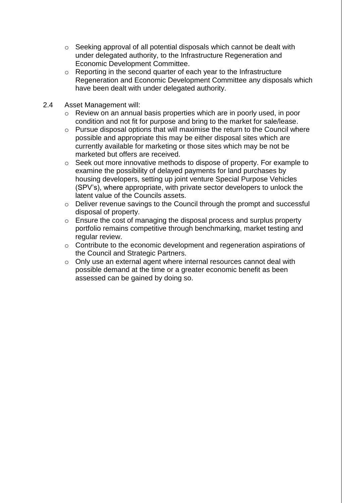- o Seeking approval of all potential disposals which cannot be dealt with under delegated authority, to the Infrastructure Regeneration and Economic Development Committee.
- o Reporting in the second quarter of each year to the Infrastructure Regeneration and Economic Development Committee any disposals which have been dealt with under delegated authority.
- 2.4 Asset Management will:
	- o Review on an annual basis properties which are in poorly used, in poor condition and not fit for purpose and bring to the market for sale/lease.
	- o Pursue disposal options that will maximise the return to the Council where possible and appropriate this may be either disposal sites which are currently available for marketing or those sites which may be not be marketed but offers are received.
	- o Seek out more innovative methods to dispose of property. For example to examine the possibility of delayed payments for land purchases by housing developers, setting up joint venture Special Purpose Vehicles (SPV's), where appropriate, with private sector developers to unlock the latent value of the Councils assets.
	- o Deliver revenue savings to the Council through the prompt and successful disposal of property.
	- o Ensure the cost of managing the disposal process and surplus property portfolio remains competitive through benchmarking, market testing and regular review.
	- o Contribute to the economic development and regeneration aspirations of the Council and Strategic Partners.
	- o Only use an external agent where internal resources cannot deal with possible demand at the time or a greater economic benefit as been assessed can be gained by doing so.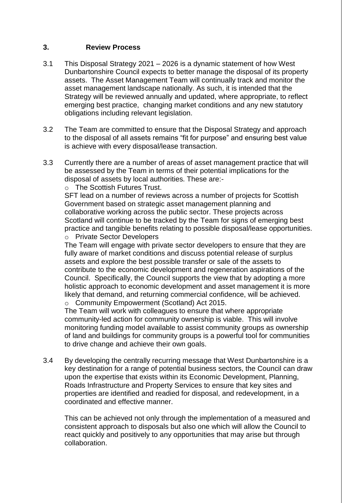#### **3. Review Process**

- 3.1 This Disposal Strategy 2021 2026 is a dynamic statement of how West Dunbartonshire Council expects to better manage the disposal of its property assets. The Asset Management Team will continually track and monitor the asset management landscape nationally. As such, it is intended that the Strategy will be reviewed annually and updated, where appropriate, to reflect emerging best practice, changing market conditions and any new statutory obligations including relevant legislation.
- 3.2 The Team are committed to ensure that the Disposal Strategy and approach to the disposal of all assets remains "fit for purpose" and ensuring best value is achieve with every disposal/lease transaction.
- 3.3 Currently there are a number of areas of asset management practice that will be assessed by the Team in terms of their potential implications for the disposal of assets by local authorities. These are:-

o The Scottish Futures Trust.

SFT lead on a number of reviews across a number of projects for Scottish Government based on strategic asset management planning and collaborative working across the public sector. These projects across Scotland will continue to be tracked by the Team for signs of emerging best practice and tangible benefits relating to possible disposal/lease opportunities. o Private Sector Developers

The Team will engage with private sector developers to ensure that they are fully aware of market conditions and discuss potential release of surplus assets and explore the best possible transfer or sale of the assets to contribute to the economic development and regeneration aspirations of the Council. Specifically, the Council supports the view that by adopting a more holistic approach to economic development and asset management it is more likely that demand, and returning commercial confidence, will be achieved. o Community Empowerment (Scotland) Act 2015.

The Team will work with colleagues to ensure that where appropriate community-led action for community ownership is viable. This will involve monitoring funding model available to assist community groups as ownership of land and buildings for community groups is a powerful tool for communities to drive change and achieve their own goals.

3.4 By developing the centrally recurring message that West Dunbartonshire is a key destination for a range of potential business sectors, the Council can draw upon the expertise that exists within its Economic Development, Planning, Roads Infrastructure and Property Services to ensure that key sites and properties are identified and readied for disposal, and redevelopment, in a coordinated and effective manner.

This can be achieved not only through the implementation of a measured and consistent approach to disposals but also one which will allow the Council to react quickly and positively to any opportunities that may arise but through collaboration.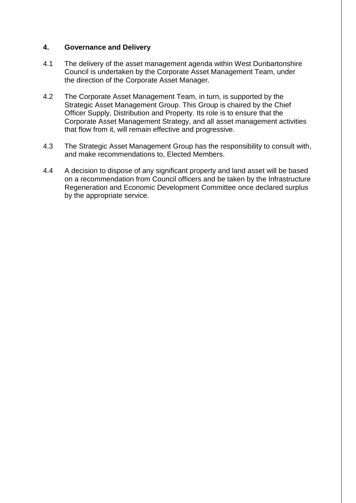#### **4. Governance and Delivery**

- 4.1 The delivery of the asset management agenda within West Dunbartonshire Council is undertaken by the Corporate Asset Management Team, under the direction of the Corporate Asset Manager.
- 4.2 The Corporate Asset Management Team, in turn, is supported by the Strategic Asset Management Group. This Group is chaired by the Chief Officer Supply, Distribution and Property. Its role is to ensure that the Corporate Asset Management Strategy, and all asset management activities that flow from it, will remain effective and progressive.
- 4.3 The Strategic Asset Management Group has the responsibility to consult with, and make recommendations to, Elected Members.
- 4.4 A decision to dispose of any significant property and land asset will be based on a recommendation from Council officers and be taken by the Infrastructure Regeneration and Economic Development Committee once declared surplus by the appropriate service.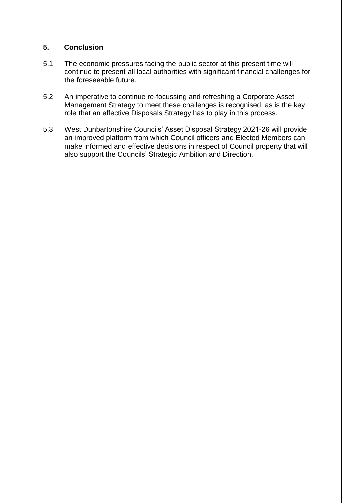#### **5. Conclusion**

- 5.1 The economic pressures facing the public sector at this present time will continue to present all local authorities with significant financial challenges for the foreseeable future.
- 5.2 An imperative to continue re-focussing and refreshing a Corporate Asset Management Strategy to meet these challenges is recognised, as is the key role that an effective Disposals Strategy has to play in this process.
- 5.3 West Dunbartonshire Councils' Asset Disposal Strategy 2021-26 will provide an improved platform from which Council officers and Elected Members can make informed and effective decisions in respect of Council property that will also support the Councils' Strategic Ambition and Direction.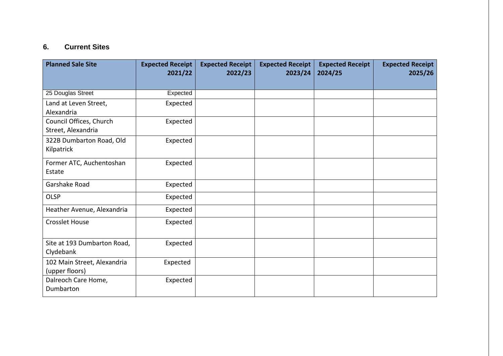## **6. Current Sites**

| <b>Planned Sale Site</b>                      | <b>Expected Receipt</b><br>2021/22 | <b>Expected Receipt</b><br>2022/23 | <b>Expected Receipt</b><br>2023/24 | <b>Expected Receipt</b><br>2024/25 | <b>Expected Receipt</b><br>2025/26 |
|-----------------------------------------------|------------------------------------|------------------------------------|------------------------------------|------------------------------------|------------------------------------|
|                                               |                                    |                                    |                                    |                                    |                                    |
| 25 Douglas Street                             | Expected                           |                                    |                                    |                                    |                                    |
| Land at Leven Street,<br>Alexandria           | Expected                           |                                    |                                    |                                    |                                    |
| Council Offices, Church<br>Street, Alexandria | Expected                           |                                    |                                    |                                    |                                    |
| 322B Dumbarton Road, Old<br>Kilpatrick        | Expected                           |                                    |                                    |                                    |                                    |
| Former ATC, Auchentoshan<br>Estate            | Expected                           |                                    |                                    |                                    |                                    |
| Garshake Road                                 | Expected                           |                                    |                                    |                                    |                                    |
| <b>OLSP</b>                                   | Expected                           |                                    |                                    |                                    |                                    |
| Heather Avenue, Alexandria                    | Expected                           |                                    |                                    |                                    |                                    |
| <b>Crosslet House</b>                         | Expected                           |                                    |                                    |                                    |                                    |
| Site at 193 Dumbarton Road,<br>Clydebank      | Expected                           |                                    |                                    |                                    |                                    |
| 102 Main Street, Alexandria<br>(upper floors) | Expected                           |                                    |                                    |                                    |                                    |
| Dalreoch Care Home,<br>Dumbarton              | Expected                           |                                    |                                    |                                    |                                    |